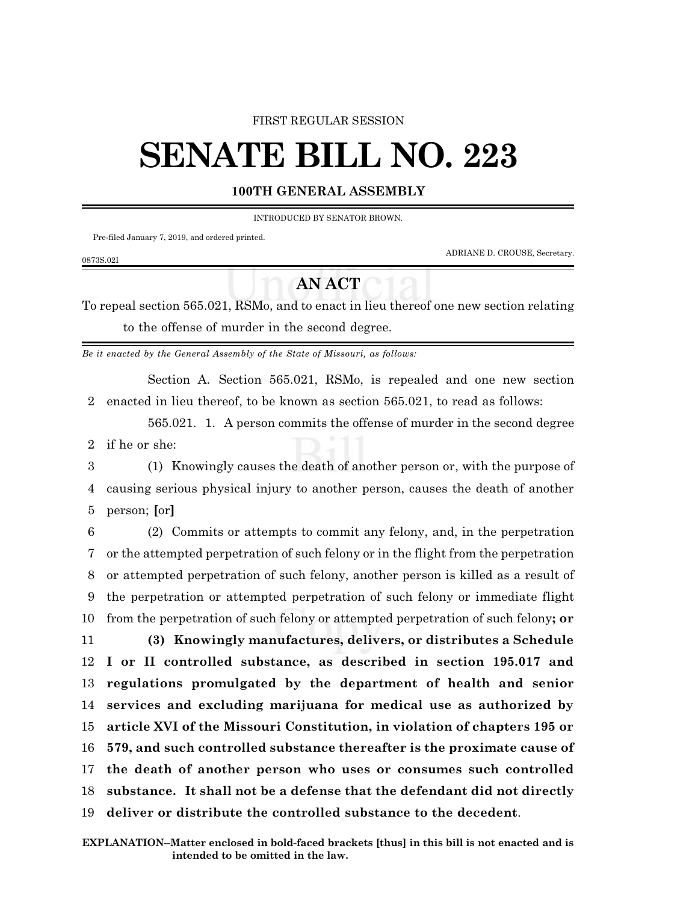#### FIRST REGULAR SESSION

# **SENATE BILL NO. 223**

### **100TH GENERAL ASSEMBLY**

INTRODUCED BY SENATOR BROWN.

Pre-filed January 7, 2019, and ordered printed.

ADRIANE D. CROUSE, Secretary.

## **AN ACT**

To repeal section 565.021, RSMo, and to enact in lieu thereof one new section relating to the offense of murder in the second degree.

*Be it enacted by the General Assembly of the State of Missouri, as follows:*

Section A. Section 565.021, RSMo, is repealed and one new section 2 enacted in lieu thereof, to be known as section 565.021, to read as follows:

565.021. 1. A person commits the offense of murder in the second degree 2 if he or she:

3 (1) Knowingly causes the death of another person or, with the purpose of 4 causing serious physical injury to another person, causes the death of another 5 person; **[**or**]**

 (2) Commits or attempts to commit any felony, and, in the perpetration or the attempted perpetration of such felony or in the flight from the perpetration or attempted perpetration of such felony, another person is killed as a result of the perpetration or attempted perpetration of such felony or immediate flight from the perpetration of such felony or attempted perpetration of such felony**; or (3) Knowingly manufactures, delivers, or distributes a Schedule I or II controlled substance, as described in section 195.017 and regulations promulgated by the department of health and senior services and excluding marijuana for medical use as authorized by article XVI of the Missouri Constitution, in violation of chapters 195 or 579, and such controlled substance thereafter is the proximate cause of the death of another person who uses or consumes such controlled substance. It shall not be a defense that the defendant did not directly deliver or distribute the controlled substance to the decedent**.

#### 0873S.02I